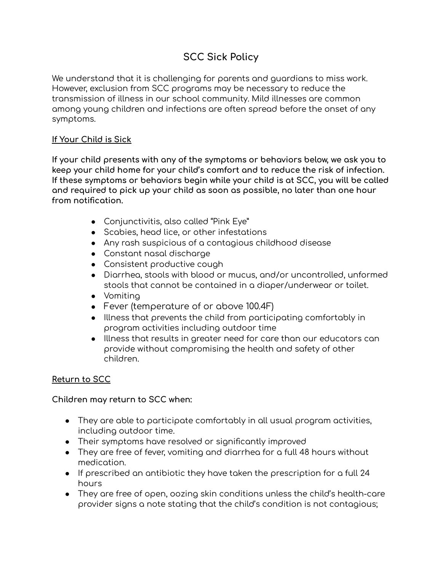# **SCC Sick Policy**

We understand that it is challenging for parents and guardians to miss work. However, exclusion from SCC programs may be necessary to reduce the transmission of illness in our school community. Mild illnesses are common among young children and infections are often spread before the onset of any symptoms.

### **If Your Child is Sick**

**If your child presents with any of the symptoms or behaviors below, we ask you to keep your child home for your child's comfort and to reduce the risk of infection. If these symptoms or behaviors begin while your child is at SCC, you will be called and required to pick up your child as soon as possible, no later than one hour from notification.**

- Conjunctivitis, also called "Pink Eye"
- Scabies, head lice, or other infestations
- Any rash suspicious of a contagious childhood disease
- Constant nasal discharge
- Consistent productive cough
- Diarrhea, stools with blood or mucus, and/or uncontrolled, unformed stools that cannot be contained in a diaper/underwear or toilet.
- Vomiting
- Fever (temperature of or above 100.4F)
- Illness that prevents the child from participating comfortably in program activities including outdoor time
- Illness that results in greater need for care than our educators can provide without compromising the health and safety of other children.

#### **Return to SCC**

**Children may return to SCC when:**

- They are able to participate comfortably in all usual program activities, including outdoor time.
- Their symptoms have resolved or significantly improved
- They are free of fever, vomiting and diarrhea for a full 48 hours without medication.
- If prescribed an antibiotic they have taken the prescription for a full 24 hours
- They are free of open, oozing skin conditions unless the child's health-care provider signs a note stating that the child's condition is not contagious;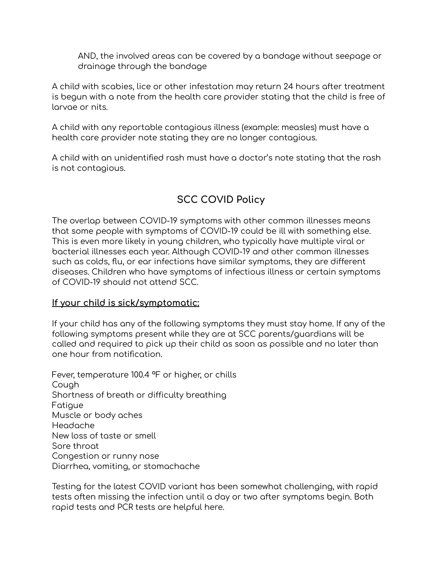AND, the involved areas can be covered by a bandage without seepage or drainage through the bandage

A child with scabies, lice or other infestation may return 24 hours after treatment is begun with a note from the health care provider stating that the child is free of larvae or nits.

A child with any reportable contagious illness (example: measles) must have a health care provider note stating they are no longer contagious.

A child with an unidentified rash must have a doctor's note stating that the rash is not contagious.

# **SCC COVID Policy**

The overlap between COVID-19 symptoms with other common illnesses means that some people with symptoms of COVID-19 could be ill with something else. This is even more likely in young children, who typically have multiple viral or bacterial illnesses each year. Although COVID-19 and other common illnesses such as colds, flu, or ear infections have similar symptoms, they are different diseases. Children who have symptoms of infectious illness or certain symptoms of COVID-19 should not attend SCC.

#### **If your child is sick/symptomatic:**

If your child has any of the following symptoms they must stay home. If any of the following symptoms present while they are at SCC parents/guardians will be called and required to pick up their child as soon as possible and no later than one hour from notification.

Fever, temperature 100.4 ºF or higher, or chills Cough Shortness of breath or difficulty breathing Fatigue Muscle or body aches Headache New loss of taste or smell Sore throat Congestion or runny nose Diarrhea, vomiting, or stomachache

Testing for the latest COVID variant has been somewhat challenging, with rapid tests often missing the infection until a day or two after symptoms begin. Both rapid tests and PCR tests are helpful here.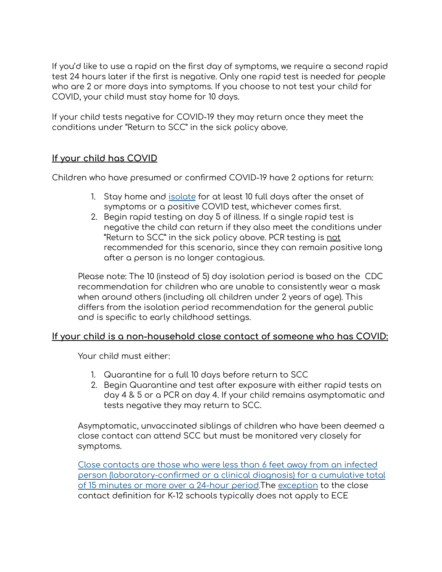If you'd like to use a rapid on the first day of symptoms, we require a second rapid test 24 hours later if the first is negative. Only one rapid test is needed for people who are 2 or more days into symptoms. If you choose to not test your child for COVID, your child must stay home for 10 days.

If your child tests negative for COVID-19 they may return once they meet the conditions under "Return to SCC" in the sick policy above.

## **If your child has COVID**

Children who have presumed or confirmed COVID-19 have 2 options for return:

- 1. Stay home and [isolate](https://www.cdc.gov/coronavirus/2019-ncov/your-health/quarantine-isolation.html) for at least 10 full days after the onset of symptoms or a positive COVID test, whichever comes first.
- 2. Begin rapid testing on day 5 of illness. If a single rapid test is negative the child can return if they also meet the conditions under "Return to SCC" in the sick policy above. PCR testing is not recommended for this scenario, since they can remain positive long after a person is no longer contagious.

Please note: The 10 (instead of 5) day isolation period is based on the CDC recommendation for children who are unable to consistently wear a mask when around others (including all children under 2 years of age). This differs from the isolation period recommendation for the general public and is specific to early childhood settings.

#### **If your child is a non-household close contact of someone who has COVID:**

Your child must either:

- 1. Quarantine for a full 10 days before return to SCC
- 2. Begin Quarantine and test after exposure with either rapid tests on day 4 & 5 or a PCR on day 4. If your child remains asymptomatic and tests negative they may return to SCC.

Asymptomatic, unvaccinated siblings of children who have been deemed a close contact can attend SCC but must be monitored very closely for symptoms.

Close [contacts](https://www.cdc.gov/coronavirus/2019-ncov/php/contact-tracing/contact-tracing-plan/appendix.html#contact) are those who were less than 6 feet away from an infected person [\(laboratory-confirmed](https://www.cdc.gov/coronavirus/2019-ncov/php/contact-tracing/contact-tracing-plan/appendix.html#contact) or a clinical diagnosis) for a cumulative total of 15 [minutes](https://www.cdc.gov/coronavirus/2019-ncov/php/contact-tracing/contact-tracing-plan/appendix.html#contact) or more over a 24-hour period.The [exception](https://www.cdc.gov/coronavirus/2019-ncov/php/contact-tracing/contact-tracing-plan/appendix.html#contact) to the close contact definition for K-12 schools typically does not apply to ECE